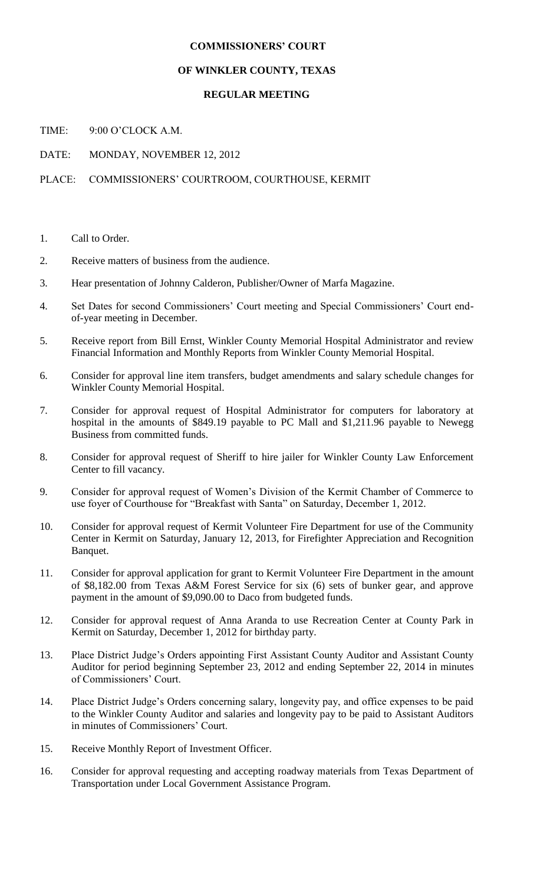## **COMMISSIONERS' COURT**

## **OF WINKLER COUNTY, TEXAS**

## **REGULAR MEETING**

TIME: 9:00 O'CLOCK A M.

DATE: MONDAY, NOVEMBER 12, 2012

PLACE: COMMISSIONERS' COURTROOM, COURTHOUSE, KERMIT

- 1. Call to Order.
- 2. Receive matters of business from the audience.
- 3. Hear presentation of Johnny Calderon, Publisher/Owner of Marfa Magazine.
- 4. Set Dates for second Commissioners' Court meeting and Special Commissioners' Court endof-year meeting in December.
- 5. Receive report from Bill Ernst, Winkler County Memorial Hospital Administrator and review Financial Information and Monthly Reports from Winkler County Memorial Hospital.
- 6. Consider for approval line item transfers, budget amendments and salary schedule changes for Winkler County Memorial Hospital.
- 7. Consider for approval request of Hospital Administrator for computers for laboratory at hospital in the amounts of \$849.19 payable to PC Mall and \$1,211.96 payable to Newegg Business from committed funds.
- 8. Consider for approval request of Sheriff to hire jailer for Winkler County Law Enforcement Center to fill vacancy.
- 9. Consider for approval request of Women's Division of the Kermit Chamber of Commerce to use foyer of Courthouse for "Breakfast with Santa" on Saturday, December 1, 2012.
- 10. Consider for approval request of Kermit Volunteer Fire Department for use of the Community Center in Kermit on Saturday, January 12, 2013, for Firefighter Appreciation and Recognition Banquet.
- 11. Consider for approval application for grant to Kermit Volunteer Fire Department in the amount of \$8,182.00 from Texas A&M Forest Service for six (6) sets of bunker gear, and approve payment in the amount of \$9,090.00 to Daco from budgeted funds.
- 12. Consider for approval request of Anna Aranda to use Recreation Center at County Park in Kermit on Saturday, December 1, 2012 for birthday party.
- 13. Place District Judge's Orders appointing First Assistant County Auditor and Assistant County Auditor for period beginning September 23, 2012 and ending September 22, 2014 in minutes of Commissioners' Court.
- 14. Place District Judge's Orders concerning salary, longevity pay, and office expenses to be paid to the Winkler County Auditor and salaries and longevity pay to be paid to Assistant Auditors in minutes of Commissioners' Court.
- 15. Receive Monthly Report of Investment Officer.
- 16. Consider for approval requesting and accepting roadway materials from Texas Department of Transportation under Local Government Assistance Program.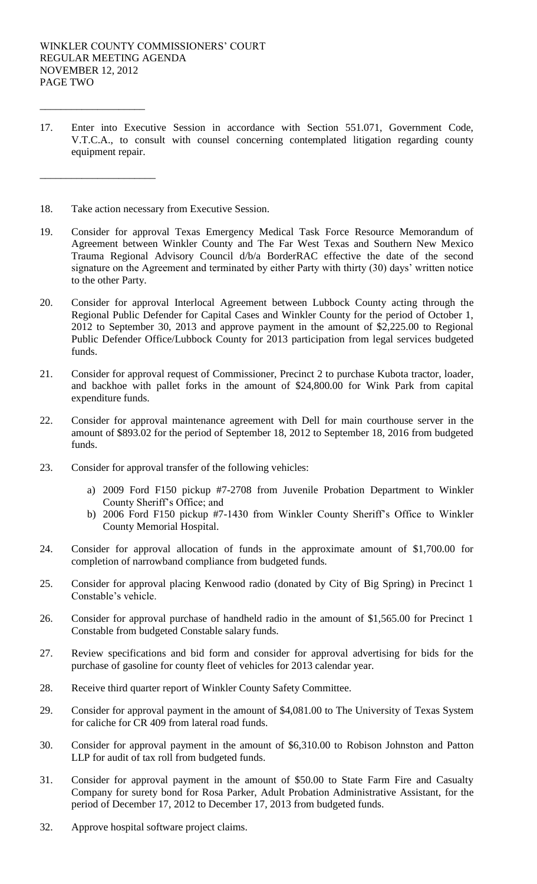\_\_\_\_\_\_\_\_\_\_\_\_\_\_\_\_\_\_\_\_

\_\_\_\_\_\_\_\_\_\_\_\_\_\_\_\_\_\_\_\_\_\_

- 17. Enter into Executive Session in accordance with Section 551.071, Government Code, V.T.C.A., to consult with counsel concerning contemplated litigation regarding county equipment repair.
- 18. Take action necessary from Executive Session.
- 19. Consider for approval Texas Emergency Medical Task Force Resource Memorandum of Agreement between Winkler County and The Far West Texas and Southern New Mexico Trauma Regional Advisory Council d/b/a BorderRAC effective the date of the second signature on the Agreement and terminated by either Party with thirty (30) days' written notice to the other Party.
- 20. Consider for approval Interlocal Agreement between Lubbock County acting through the Regional Public Defender for Capital Cases and Winkler County for the period of October 1, 2012 to September 30, 2013 and approve payment in the amount of \$2,225.00 to Regional Public Defender Office/Lubbock County for 2013 participation from legal services budgeted funds.
- 21. Consider for approval request of Commissioner, Precinct 2 to purchase Kubota tractor, loader, and backhoe with pallet forks in the amount of \$24,800.00 for Wink Park from capital expenditure funds.
- 22. Consider for approval maintenance agreement with Dell for main courthouse server in the amount of \$893.02 for the period of September 18, 2012 to September 18, 2016 from budgeted funds.
- 23. Consider for approval transfer of the following vehicles:
	- a) 2009 Ford F150 pickup #7-2708 from Juvenile Probation Department to Winkler County Sheriff's Office; and
	- b) 2006 Ford F150 pickup #7-1430 from Winkler County Sheriff's Office to Winkler County Memorial Hospital.
- 24. Consider for approval allocation of funds in the approximate amount of \$1,700.00 for completion of narrowband compliance from budgeted funds.
- 25. Consider for approval placing Kenwood radio (donated by City of Big Spring) in Precinct 1 Constable's vehicle.
- 26. Consider for approval purchase of handheld radio in the amount of \$1,565.00 for Precinct 1 Constable from budgeted Constable salary funds.
- 27. Review specifications and bid form and consider for approval advertising for bids for the purchase of gasoline for county fleet of vehicles for 2013 calendar year.
- 28. Receive third quarter report of Winkler County Safety Committee.
- 29. Consider for approval payment in the amount of \$4,081.00 to The University of Texas System for caliche for CR 409 from lateral road funds.
- 30. Consider for approval payment in the amount of \$6,310.00 to Robison Johnston and Patton LLP for audit of tax roll from budgeted funds.
- 31. Consider for approval payment in the amount of \$50.00 to State Farm Fire and Casualty Company for surety bond for Rosa Parker, Adult Probation Administrative Assistant, for the period of December 17, 2012 to December 17, 2013 from budgeted funds.
- 32. Approve hospital software project claims.